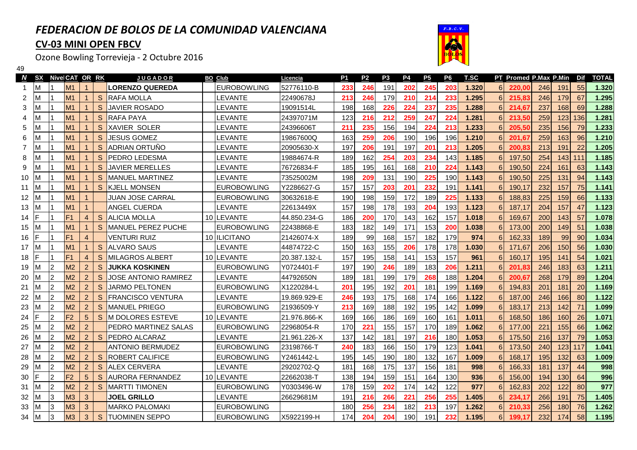## *FEDERACION DE BOLOS DE LA COMUNIDAD VALENCIANA*

## **CV-03 MINI OPEN FBCV**

49

Ozone Bowling Torrevieja - 2 Octubre 2016



|      | N SX |                | Nive CAT OR RK |                |              | <b>JUGADOR</b>              | <b>BO Club</b>      | Licencia     | <b>P1</b> | P <sub>2</sub> | P3  | <b>P4</b> | <b>P5</b> | P <sub>6</sub> | <b>T.SC</b> |            | PT Promed P.Max P.Min |     |     | Dif | <b>TOTAL</b> |
|------|------|----------------|----------------|----------------|--------------|-----------------------------|---------------------|--------------|-----------|----------------|-----|-----------|-----------|----------------|-------------|------------|-----------------------|-----|-----|-----|--------------|
|      | ΙM   |                | M1             |                |              | <b>LORENZO QUEREDA</b>      | <b>EUROBOWLING</b>  | 52776110-B   | 233       | 246            | 191 | 202       | 245       | 203            | 1.320       | 6          | 220,00                | 246 | 191 | 55  | 1.320        |
| 2    | ΙM   |                | M1             | 1              | S.           | <b>RAFA MOLLA</b>           | LEVANTE             | 22490678J    | 213       | 246            | 179 | 210       | 214       | 233            | 1.295       | 6          | 215,83                | 246 | 179 | 67  | 1.295        |
| 3    |      |                | M1             |                | <sub>S</sub> | <b>JAVIER ROSADO</b>        | <b>LEVANTE</b>      | 19091514L    | 198       | 168            | 226 | 224       | 237       | 235            | 1.288       | 6          | 214,67                | 237 | 168 | 69  | 1.288        |
| 4    |      |                | M1             |                | S            | <b>RAFA PAYA</b>            | <b>LEVANTE</b>      | 24397071M    | 123       | 216            | 212 | 259       | 247       | 224            | 1.281       | 6          | 213,50                | 259 | 123 | 136 | 1.281        |
| 5    | ıм   |                | M1             |                | <sub>S</sub> | <b>XAVIER SOLER</b>         | LEVANTE             | 24396606T    | 211       | 235            | 156 | 194       | 224       | 213            | 1.233       | 6          | 205,50                | 235 | 156 | 79  | 1.233        |
| 6    | ΙM   |                | M1             |                | S            | <b>JESUS GOMEZ</b>          | LEVANTE             | 19867600Q    | 163       | 259            | 206 | 190       | 196       | 196            | 1.210       | 6          | 201,67                | 259 | 163 | 96  | 1.210        |
|      | ΙM   |                | <b>M1</b>      |                | <sub>S</sub> | ADRIAN ORTUÑO               | <b>LEVANTE</b>      | 20905630-X   | 197       | 206            | 191 | 197       | 201       | 213            | 1.205       | 6          | 200,83                | 213 | 191 | 22  | 1.205        |
| 8    | ΙM   |                | M1             |                | S            | PEDRO LEDESMA               | LEVANTE             | 19884674-R   | 189       | 162            | 254 | 203       | 234       | 143            | 1.185       | 6          | 197,50                | 254 | 143 | 111 | 1.185        |
| 9    | ΙM   |                | M1             |                | S            | <b>JAVIER MERELLES</b>      | LEVANTE             | 76726834-F   | 185       | 195            | 161 | 168       | 210       | 224            | 1.143       | 6          | 190,50                | 224 | 161 | 63  | 1.143        |
| 10   |      |                | M1             |                | S            | <b>MANUEL MARTINEZ</b>      | <b>LEVANTE</b>      | 73525002M    | 198       | 209            | 131 | 190       | 225       | 190            | 1.143       | 6          | 190,50                | 225 | 131 | 94  | 1.143        |
| 11   | ТM   |                | M1             |                | S            | <b>KJELL MONSEN</b>         | <b>EUROBOWLING</b>  | Y2286627-G   | 157       | 157            | 203 | 201       | 232       | 191            | 1.141       | 6          | 190,17                | 232 | 157 | 75  | 1.141        |
| 12   |      |                | M1             |                |              | <b>JUAN JOSE CARRAL</b>     | <b>EUROBOWLING</b>  | 30632618-E   | 190       | 198            | 159 | 172       | 189       | 225            | 1.133       | 6          | 188,83                | 225 | 159 | 66  | 1.133        |
| 13 M |      |                | M1             |                |              | ANGEL CUERDA                | <b>LEVANTE</b>      | 22613449X    | 157       | 198            | 178 | 193       | 204       | 193            | 1.123       | 6          | 187,17                | 204 | 157 | 47  | 1.123        |
| 14   | IF   |                | F <sub>1</sub> | $\overline{4}$ | S            | <b>ALICIA MOLLA</b>         | 10 LEVANTE          | 44.850.234-G | 186       | 200            | 170 | 143       | 162       | 157            | 1.018       | 6          | 169,67                | 200 | 143 | 57  | 1.078        |
| 15   | -IM  |                | M1             |                | S.           | MANUEL PEREZ PUCHE          | <b>EUROBOWLING</b>  | 22438868-E   | 183       | 182            | 149 | 171       | 153       | 200            | 1.038       | 6          | 173,00                | 200 | 149 | 51  | 1.038        |
| 16   |      |                | F <sub>1</sub> | $\overline{4}$ |              | <b>VENTURI RUIZ</b>         | 10 ILICITANO        | 21426074-X   | 189       | 99             | 168 | 157       | 182       | 179            | 974         | 6          | 162,33                | 189 | 99  | 90  | 1.034        |
| 17 M |      |                | M1             | $\mathbf 1$    | S            | <b>ALVARO SAUS</b>          | <b>LEVANTE</b>      | 44874722-C   | 150       | 163            | 155 | 206       | 178       | 178            | 1.030       | 6          | 171,67                | 206 | 150 | 56  | 1.030        |
| 18   |      |                | F <sub>1</sub> | $\overline{4}$ | S            | <b>MILAGROS ALBERT</b>      | 10 LEVANTE          | 20.387.132-L | 157       | 195            | 158 | 141       | 153       | 157            | 961         | 6          | 160,17                | 195 | 141 | 54  | 1.021        |
| 19   | 1M   | $\overline{2}$ | M <sub>2</sub> | $\overline{2}$ | S            | <b>JUKKA KOSKINEN</b>       | <b>EUROBOWLING</b>  | Y0724401-F   | 197       | 190            | 246 | 189       | 183       | 206            | 1.211       | 6          | 201,83                | 246 | 183 | 63  | 1.211        |
| 20   | ΙM   | $\overline{2}$ | M <sub>2</sub> | $\overline{2}$ | S            | <b>JOSE ANTONIO RAMIREZ</b> | <b>LEVANTE</b>      | 44792650N    | 189       | 181            | 199 | 179       | 268       | 188            | 1.204       | 6          | 200,67                | 268 | 179 | 89  | 1.204        |
| 21   | 1M   | $\overline{2}$ | M <sub>2</sub> | $\overline{2}$ | S.           | <b>JARMO PELTONEN</b>       | <b>EUROBOWLING</b>  | X1220284-L   | 201       | 195            | 192 | 201       | 181       | 199            | 1.169       | 6          | 194,83                | 201 | 181 | 20  | 1.169        |
| 22   | 1M   | $\overline{2}$ | M <sub>2</sub> | $\overline{2}$ | <sub>S</sub> | <b>FRANCISCO VENTURA</b>    | <b>LEVANTE</b>      | 19.869.929-E | 246       | 193            | 175 | 168       | 174       | 166            | 1.122       | 6          | 187,00                | 246 | 166 | 80  | 1.122        |
| 23   | 1M   | $\overline{2}$ | M <sub>2</sub> | $\overline{2}$ | <sub>S</sub> | <b>MANUEL PRIEGO</b>        | <b>IEUROBOWLING</b> | 21936509-Y   | 213       | 169            | 188 | 192       | 195       | 142            | 1.099       | 6          | 183.17                | 213 | 142 | 71  | 1.099        |
| 24   |      | 2              | F <sub>2</sub> | 5              | <sub>S</sub> | <b>M DOLORES ESTEVE</b>     | 10 ILEVANTE         | 21.976.866-K | 169       | 166            | 186 | 169       | 160       | 161            | 1.011       | $\epsilon$ | 168,50                | 186 | 160 | 26  | 1.071        |
| 25   | ΙM   | $\overline{2}$ | M <sub>2</sub> | $\overline{2}$ |              | PEDRO MARTINEZ SALAS        | <b>EUROBOWLING</b>  | 22968054-R   | 170       | 221            | 155 | 157       | 170       | 189            | 1.062       | $\epsilon$ | 177,00                | 221 | 155 | 66  | 1.062        |
| 26   | ıм   | $\overline{2}$ | M <sub>2</sub> | $\overline{2}$ | <sub>S</sub> | <b>PEDRO ALCARAZ</b>        | LEVANTE             | 21.961.226-X | 137       | 142            | 181 | 197       | 216       | 180            | 1.053       | 6          | 175,50                | 216 | 137 | 79  | 1.053        |
| 27   |      | 2              | M <sub>2</sub> | $\overline{2}$ |              | <b>ANTONIO BERMUDEZ</b>     | EUROBOWLING         | 23198766-T   | 240       | 183            | 166 | 150       | 179       | 123            | 1.041       | 6          | 173,50                | 240 | 123 | 117 | 1.041        |
| 28   | ΙM   | $\mathcal{P}$  | M <sub>2</sub> | $\overline{2}$ | S            | <b>ROBERT CALIFICE</b>      | <b>EUROBOWLING</b>  | Y2461442-L   | 195       | 145            | 190 | 180       | 132       | 167            | 1.009       | 6          | 168,17                | 195 | 132 | 63  | 1.009        |
| 29   | ΙM   | $\overline{2}$ | M <sub>2</sub> | $\overline{2}$ | S.           | <b>IALEX CERVERA</b>        | LEVANTE             | 29202702-Q   | 181       | 168            | 175 | 137       | 156       | 181            | 998         | 6          | 166,33                | 181 | 137 | 44  | 998          |
| 30   | IF   | $\overline{2}$ | F <sub>2</sub> | 5              |              | S AURORA FERNANDEZ          | 10 LEVANTE          | 22662038-T   | 138       | 194            | 159 | 151       | 164       | 130            | 936         | 6          | 156.00                | 194 | 130 | 64  | 996          |
| 31   | -IM  | 2              | M <sub>2</sub> | $\overline{2}$ | <sub>S</sub> | <b>MARTTI TIMONEN</b>       | <b>EUROBOWLING</b>  | Y0303496-W   | 178       | 159            | 202 | 174       | 142       | 122            | 977         | 6          | 162,83                | 202 | 122 | 80  | 977          |
| 32   |      | 3              | M <sub>3</sub> | 3              |              | <b>JOEL GRILLO</b>          | <b>EVANTE</b>       | 26629681M    | 191       | 216            | 266 | 221       | 256       | 255            | 1.405       | 6          | 234,17                | 266 | 191 | 75  | 1.405        |
| 33   | 1M   | 3              | M <sub>3</sub> | 3              |              | <b>MARKO PALOMAKI</b>       | <b>EUROBOWLING</b>  |              | 180       | 256            | 234 | 182       | 213       | 197            | 1.262       | 6          | 210.33                | 256 | 180 | 76  | 1.262        |
| 34 M |      | 3              | M <sub>3</sub> | 3              | <sub>S</sub> | <b>ITUOMINEN SEPPO</b>      | <b>IEUROBOWLING</b> | X5922199-H   | 174       | 204            | 204 | 190       | 191       | 232            | 1.195       | 6          | 199.17                | 232 | 174 | 58  | 1.195        |
|      |      |                |                |                |              |                             |                     |              |           |                |     |           |           |                |             |            |                       |     |     |     |              |